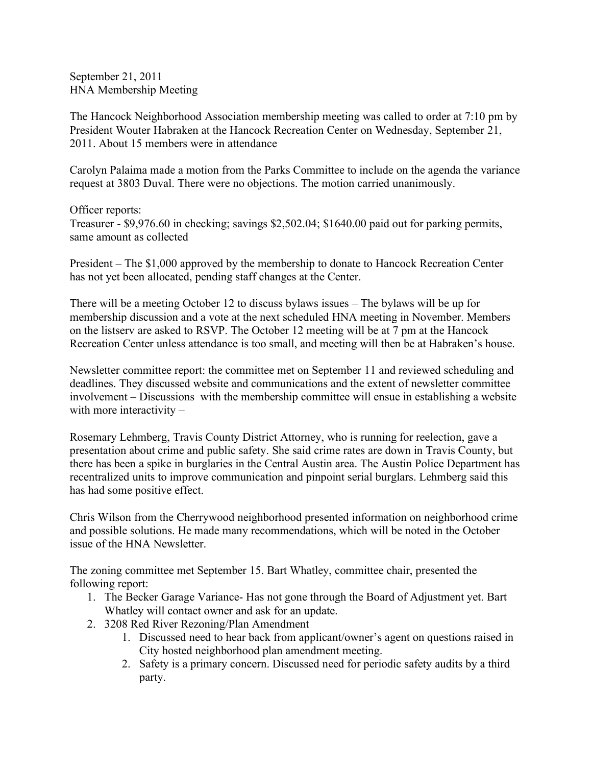September 21, 2011 HNA Membership Meeting

The Hancock Neighborhood Association membership meeting was called to order at 7:10 pm by President Wouter Habraken at the Hancock Recreation Center on Wednesday, September 21, 2011. About 15 members were in attendance

Carolyn Palaima made a motion from the Parks Committee to include on the agenda the variance request at 3803 Duval. There were no objections. The motion carried unanimously.

Officer reports: Treasurer - \$9,976.60 in checking; savings \$2,502.04; \$1640.00 paid out for parking permits, same amount as collected

President – The \$1,000 approved by the membership to donate to Hancock Recreation Center has not yet been allocated, pending staff changes at the Center.

There will be a meeting October 12 to discuss bylaws issues – The bylaws will be up for membership discussion and a vote at the next scheduled HNA meeting in November. Members on the listserv are asked to RSVP. The October 12 meeting will be at 7 pm at the Hancock Recreation Center unless attendance is too small, and meeting will then be at Habraken's house.

Newsletter committee report: the committee met on September 11 and reviewed scheduling and deadlines. They discussed website and communications and the extent of newsletter committee involvement – Discussions with the membership committee will ensue in establishing a website with more interactivity –

Rosemary Lehmberg, Travis County District Attorney, who is running for reelection, gave a presentation about crime and public safety. She said crime rates are down in Travis County, but there has been a spike in burglaries in the Central Austin area. The Austin Police Department has recentralized units to improve communication and pinpoint serial burglars. Lehmberg said this has had some positive effect.

Chris Wilson from the Cherrywood neighborhood presented information on neighborhood crime and possible solutions. He made many recommendations, which will be noted in the October issue of the HNA Newsletter.

The zoning committee met September 15. Bart Whatley, committee chair, presented the following report:

- 1. The Becker Garage Variance- Has not gone through the Board of Adjustment yet. Bart Whatley will contact owner and ask for an update.
- 2. 3208 Red River Rezoning/Plan Amendment
	- 1. Discussed need to hear back from applicant/owner's agent on questions raised in City hosted neighborhood plan amendment meeting.
	- 2. Safety is a primary concern. Discussed need for periodic safety audits by a third party.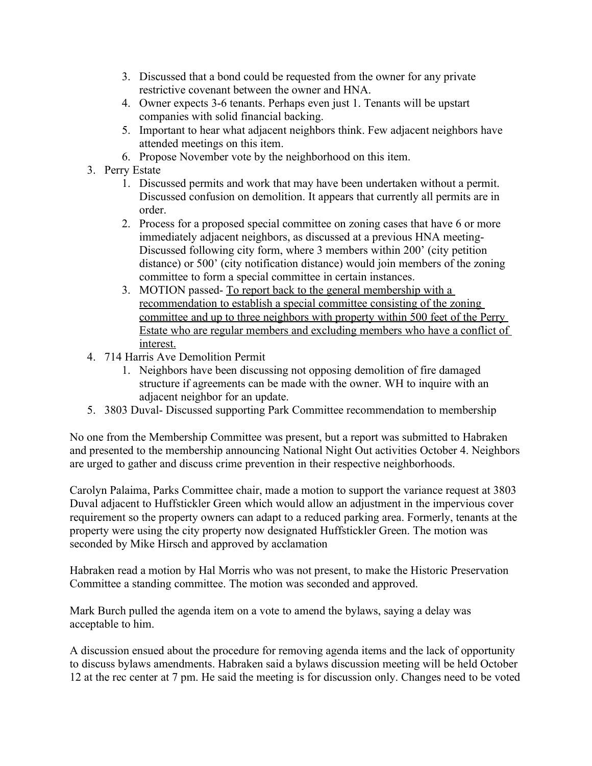- 3. Discussed that a bond could be requested from the owner for any private restrictive covenant between the owner and HNA.
- 4. Owner expects 3-6 tenants. Perhaps even just 1. Tenants will be upstart companies with solid financial backing.
- 5. Important to hear what adjacent neighbors think. Few adjacent neighbors have attended meetings on this item.
- 6. Propose November vote by the neighborhood on this item.
- 3. Perry Estate
	- 1. Discussed permits and work that may have been undertaken without a permit. Discussed confusion on demolition. It appears that currently all permits are in order.
	- 2. Process for a proposed special committee on zoning cases that have 6 or more immediately adjacent neighbors, as discussed at a previous HNA meeting-Discussed following city form, where 3 members within 200' (city petition distance) or 500' (city notification distance) would join members of the zoning committee to form a special committee in certain instances.
	- 3. MOTION passed- To report back to the general membership with a recommendation to establish a special committee consisting of the zoning committee and up to three neighbors with property within 500 feet of the Perry Estate who are regular members and excluding members who have a conflict of interest.
- 4. 714 Harris Ave Demolition Permit
	- 1. Neighbors have been discussing not opposing demolition of fire damaged structure if agreements can be made with the owner. WH to inquire with an adjacent neighbor for an update.
- 5. 3803 Duval- Discussed supporting Park Committee recommendation to membership

No one from the Membership Committee was present, but a report was submitted to Habraken and presented to the membership announcing National Night Out activities October 4. Neighbors are urged to gather and discuss crime prevention in their respective neighborhoods.

Carolyn Palaima, Parks Committee chair, made a motion to support the variance request at 3803 Duval adjacent to Huffstickler Green which would allow an adjustment in the impervious cover requirement so the property owners can adapt to a reduced parking area. Formerly, tenants at the property were using the city property now designated Huffstickler Green. The motion was seconded by Mike Hirsch and approved by acclamation

Habraken read a motion by Hal Morris who was not present, to make the Historic Preservation Committee a standing committee. The motion was seconded and approved.

Mark Burch pulled the agenda item on a vote to amend the bylaws, saying a delay was acceptable to him.

A discussion ensued about the procedure for removing agenda items and the lack of opportunity to discuss bylaws amendments. Habraken said a bylaws discussion meeting will be held October 12 at the rec center at 7 pm. He said the meeting is for discussion only. Changes need to be voted